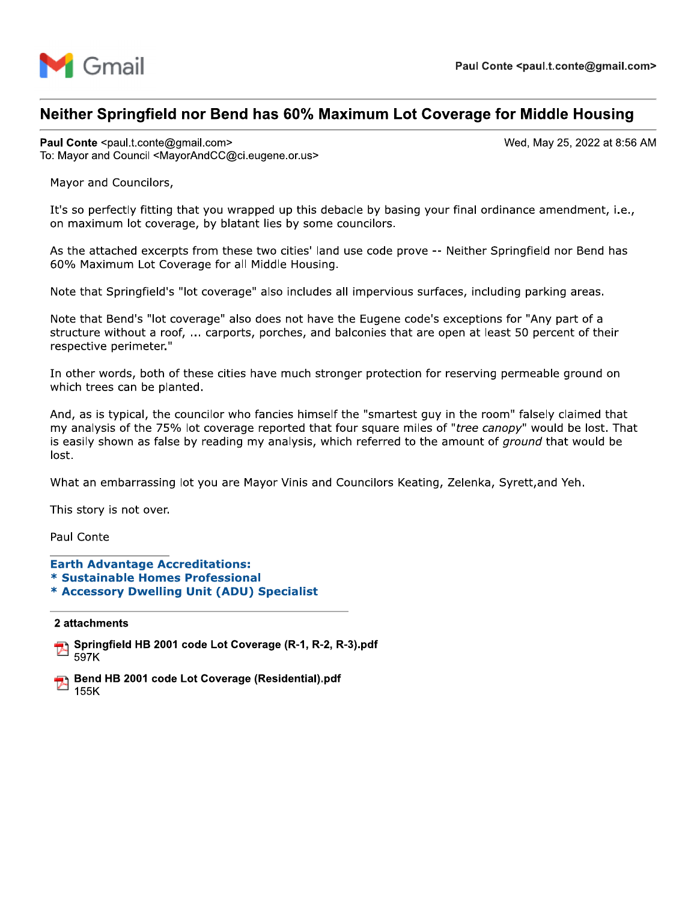

# neither Springfield hor Bend has 60% Maximum Lot Coverage for Middle Housing

Paul Conte ·<br>————————————————————

Mayor and Councilors,

**Example 18 4.4568 Paul Conte <paul.t.conte@gmail.com><br>
Neither Springfield nor Bend has 60% Maximum Lot Coverage for Middle Housing<br>
Paul Conte <paul.t.conte@gmail.com><br>
To: Mayor and Council <MayorAndCC@ci.eugene.or.us><br> Meither Springfield nor Bend has 60% Maximum Lo**<br> **Paul Conte** <paul.t.conte@gmail.com><br>
To: Mayor and Council <MayorAndCC@ci.eugene.or.us><br>
Mayor and Councilors,<br>
It's so perfectly fitting that you wrapped up this debacl It's so perfectly fitting that you wrapped up this debacle by basing your final ordinance amendment, i.e., on maximum lot coverage, by blatant lies by some councilors.

As the attached excerpts from these two cities' land use code prove -- Neither Springfield nor Bend has 60% Maximum Lot Coverage for all Middle Housing.

Note that Springfield's "lot coverage" also includes all impervious surfaces, including parking areas.

Note that Bend's "lot coverage" also does not have the Eugene code's exceptions for "Any part of a structure without a roof, ... carports, porches, and balconies that are open at least 50 percent of their respective perimeter."

In other words, both of these cities have much stronger protection for reserving permeable ground on which trees can be planted.

And, as is typical, the councilor who fancies himself the "smartest guy in the room" falsely claimed that my analysis of the 75% lot coverage reported that four square miles of "tree canopy" would be lost. That is easily shown as false by reading my analysis, which referred to the amount of *ground* that would be lost.

What an embarrassing lot you are Mayor Vinis and Councilors Keating, Zelenka, Syrett, and Yeh.

This story is not over.

Paul Conte

- Earth Advantage Accreditations:
- \* Sustainable Homes Professional
- \* Accessory Dwelling Unit (ADU) Specialist

2 attacnments



Bend HB 2001 code Lot Coverage (Residential).pdf 155K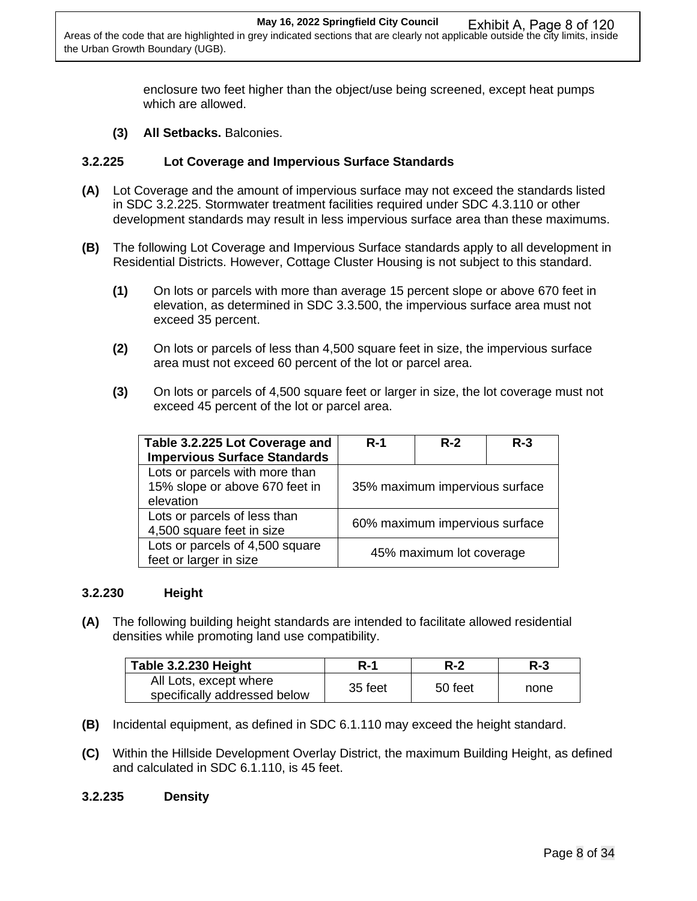enclosure two feet higher than the object/use being screened, except heat pumps which are allowed.

**(3) All Setbacks.** Balconies.

#### **3.2.225 Lot Coverage and Impervious Surface Standards**

- **(A)** Lot Coverage and the amount of impervious surface may not exceed the standards listed in SDC 3.2.225. Stormwater treatment facilities required under SDC 4.3.110 or other development standards may result in less impervious surface area than these maximums.
- **(B)** The following Lot Coverage and Impervious Surface standards apply to all development in Residential Districts. However, Cottage Cluster Housing is not subject to this standard.
	- **(1)** On lots or parcels with more than average 15 percent slope or above 670 feet in elevation, as determined in SDC 3.3.500, the impervious surface area must not exceed 35 percent.
	- **(2)** On lots or parcels of less than 4,500 square feet in size, the impervious surface area must not exceed 60 percent of the lot or parcel area.
	- **(3)** On lots or parcels of 4,500 square feet or larger in size, the lot coverage must not exceed 45 percent of the lot or parcel area.

| Table 3.2.225 Lot Coverage and      | $R-1$                          | $R-2$ | $R-3$ |
|-------------------------------------|--------------------------------|-------|-------|
| <b>Impervious Surface Standards</b> |                                |       |       |
| Lots or parcels with more than      | 35% maximum impervious surface |       |       |
| 15% slope or above 670 feet in      |                                |       |       |
| elevation                           |                                |       |       |
| Lots or parcels of less than        | 60% maximum impervious surface |       |       |
| 4,500 square feet in size           |                                |       |       |
| Lots or parcels of 4,500 square     | 45% maximum lot coverage       |       |       |
| feet or larger in size              |                                |       |       |

#### **3.2.230 Height**

**(A)** The following building height standards are intended to facilitate allowed residential densities while promoting land use compatibility.

| Table 3.2.230 Height                                   | R-1     | R-2     | $R-3$ |
|--------------------------------------------------------|---------|---------|-------|
| All Lots, except where<br>specifically addressed below | 35 feet | 50 feet | none  |

- **(B)** Incidental equipment, as defined in SDC 6.1.110 may exceed the height standard.
- **(C)** Within the Hillside Development Overlay District, the maximum Building Height, as defined and calculated in SDC 6.1.110, is 45 feet.

#### **3.2.235 Density**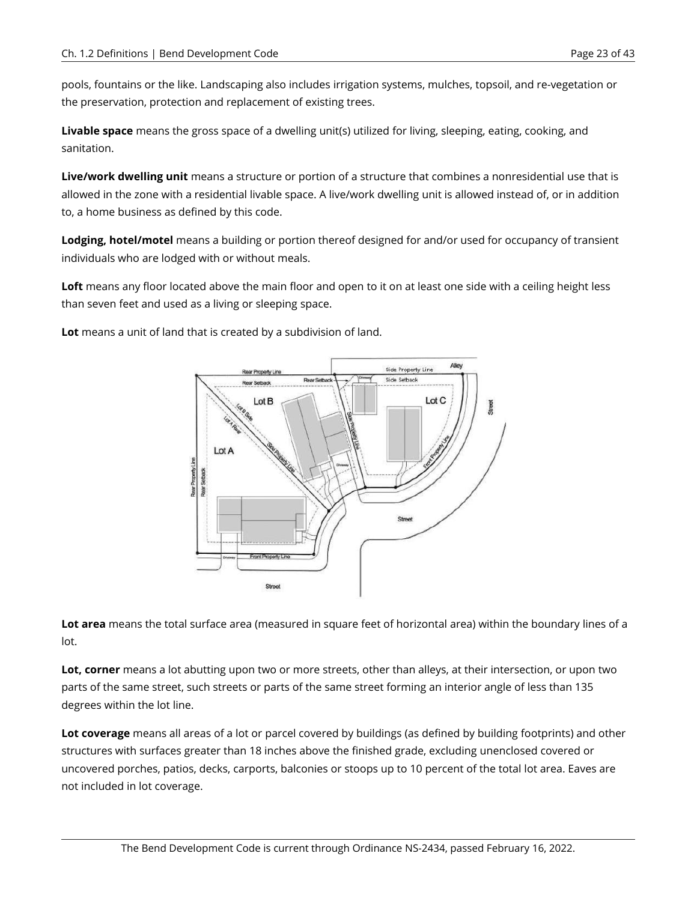pools, fountains or the like. Landscaping also includes irrigation systems, mulches, topsoil, and re-vegetation or the preservation, protection and replacement of existing trees.

**Livable space** means the gross space of a dwelling unit(s) utilized for living, sleeping, eating, cooking, and sanitation.

**Live/work dwelling unit** means a structure or portion of a structure that combines a nonresidential use that is allowed in the zone with a residential livable space. A live/work dwelling unit is allowed instead of, or in addition to, a home business as defined by this code.

**Lodging, hotel/motel** means a building or portion thereof designed for and/or used for occupancy of transient individuals who are lodged with or without meals.

**Loft** means any floor located above the main floor and open to it on at least one side with a ceiling height less than seven feet and used as a living or sleeping space.

**Lot** means a unit of land that is created by a subdivision of land.



**Lot area** means the total surface area (measured in square feet of horizontal area) within the boundary lines of a lot.

**Lot, corner** means a lot abutting upon two or more streets, other than alleys, at their intersection, or upon two parts of the same street, such streets or parts of the same street forming an interior angle of less than 135 degrees within the lot line.

**Lot coverage** means all areas of a lot or parcel covered by buildings (as defined by building footprints) and other structures with surfaces greater than 18 inches above the finished grade, excluding unenclosed covered or uncovered porches, patios, decks, carports, balconies or stoops up to 10 percent of the total lot area. Eaves are not included in lot coverage.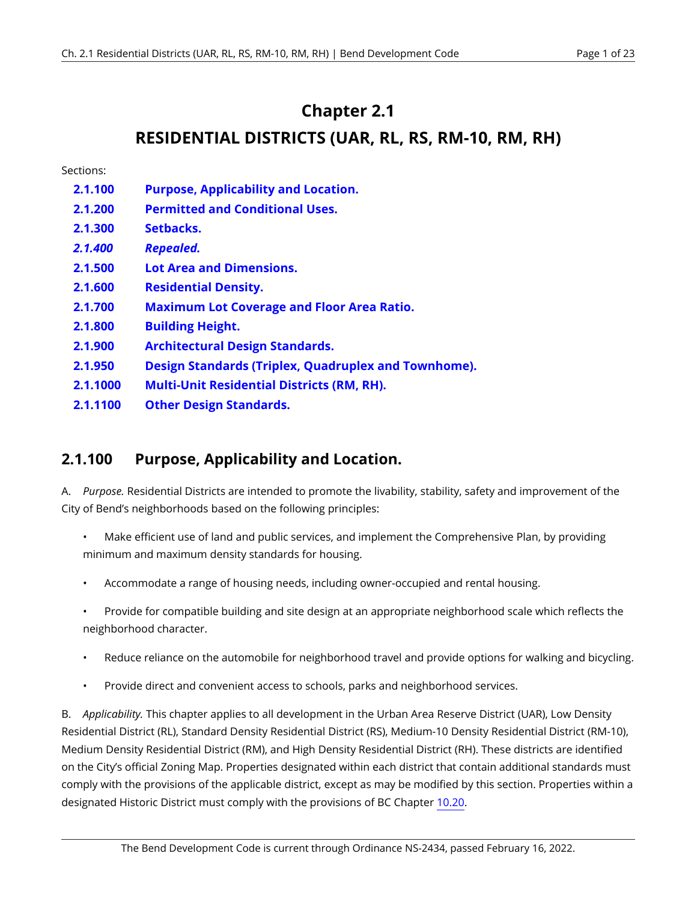## **Chapter 2.1**

## **RESIDENTIAL DISTRICTS (UAR, RL, RS, RM-10, RM, RH)**

Sections:

- **2.1.100 [Purpose, Applicability and Location.](#page-3-0)**
- **2.1.200 Permitted and Conditional Uses.**
- **2.1.300 Setbacks.**
- *2.1.400 Repealed.*
- **2.1.500 Lot Area and Dimensions.**
- **2.1.600 Residential Density.**
- **2.1.700 Maximum Lot Coverage and Floor Area Ratio.**
- **2.1.800 Building Height.**
- **2.1.900 Architectural Design Standards.**
- **2.1.950 Design Standards (Triplex, Quadruplex and Townhome).**
- **2.1.1000 Multi-Unit Residential Districts (RM, RH).**
- **2.1.1100 Other Design Standards.**

### <span id="page-3-0"></span>**2.1.100 Purpose, Applicability and Location.**

A. *Purpose.* Residential Districts are intended to promote the livability, stability, safety and improvement of the City of Bend's neighborhoods based on the following principles:

- Make efficient use of land and public services, and implement the Comprehensive Plan, by providing minimum and maximum density standards for housing.
- Accommodate a range of housing needs, including owner-occupied and rental housing.
- Provide for compatible building and site design at an appropriate neighborhood scale which reflects the neighborhood character.
- Reduce reliance on the automobile for neighborhood travel and provide options for walking and bicycling.
- Provide direct and convenient access to schools, parks and neighborhood services.

B. *Applicability.* This chapter applies to all development in the Urban Area Reserve District (UAR), Low Density Residential District (RL), Standard Density Residential District (RS), Medium-10 Density Residential District (RM-10), Medium Density Residential District (RM), and High Density Residential District (RH). These districts are identified on the City's official Zoning Map. Properties designated within each district that contain additional standards must comply with the provisions of the applicable district, except as may be modified by this section. Properties within a designated Historic District must comply with the provisions of BC Chapter [10.20](https://bend.municipal.codes/BC/10.20).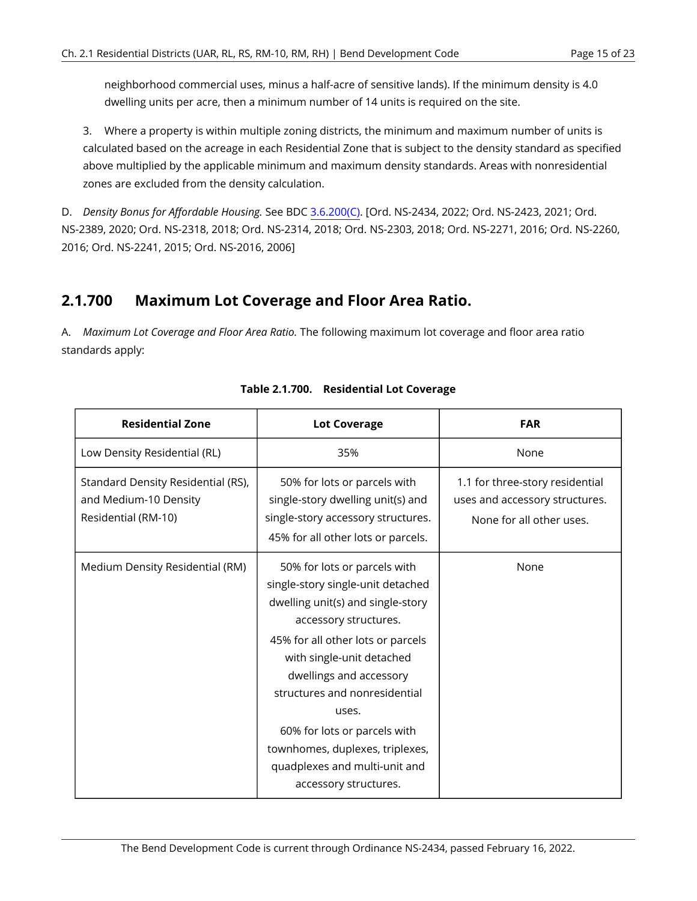neighborhood commercial uses, minus a half-acre of sensitive lands). If the minimum density is 4.0 dwelling units per acre, then a minimum number of 14 units is required on the site.

3. Where a property is within multiple zoning districts, the minimum and maximum number of units is calculated based on the acreage in each Residential Zone that is subject to the density standard as specified above multiplied by the applicable minimum and maximum density standards. Areas with nonresidential zones are excluded from the density calculation.

D. *Density Bonus for Affordable Housing.* See BDC [3.6.200\(C\)](https://bend.municipal.codes/BDC/3.6.200(C)). [Ord. NS-2434, 2022; Ord. NS-2423, 2021; Ord. NS-2389, 2020; Ord. NS-2318, 2018; Ord. NS-2314, 2018; Ord. NS-2303, 2018; Ord. NS-2271, 2016; Ord. NS-2260, 2016; Ord. NS-2241, 2015; Ord. NS-2016, 2006]

### **2.1.700 Maximum Lot Coverage and Floor Area Ratio.**

A. *Maximum Lot Coverage and Floor Area Ratio.* The following maximum lot coverage and floor area ratio standards apply:

| <b>Residential Zone</b>                                                            | <b>Lot Coverage</b>                                                                                                                                                                                                                                                                                                                                                                                 | <b>FAR</b>                                                                                    |
|------------------------------------------------------------------------------------|-----------------------------------------------------------------------------------------------------------------------------------------------------------------------------------------------------------------------------------------------------------------------------------------------------------------------------------------------------------------------------------------------------|-----------------------------------------------------------------------------------------------|
| Low Density Residential (RL)                                                       | 35%                                                                                                                                                                                                                                                                                                                                                                                                 | None                                                                                          |
| Standard Density Residential (RS),<br>and Medium-10 Density<br>Residential (RM-10) | 50% for lots or parcels with<br>single-story dwelling unit(s) and<br>single-story accessory structures.<br>45% for all other lots or parcels.                                                                                                                                                                                                                                                       | 1.1 for three-story residential<br>uses and accessory structures.<br>None for all other uses. |
| Medium Density Residential (RM)                                                    | 50% for lots or parcels with<br>single-story single-unit detached<br>dwelling unit(s) and single-story<br>accessory structures.<br>45% for all other lots or parcels<br>with single-unit detached<br>dwellings and accessory<br>structures and nonresidential<br>uses.<br>60% for lots or parcels with<br>townhomes, duplexes, triplexes,<br>quadplexes and multi-unit and<br>accessory structures. | None                                                                                          |

|  | Table 2.1.700. Residential Lot Coverage |
|--|-----------------------------------------|
|--|-----------------------------------------|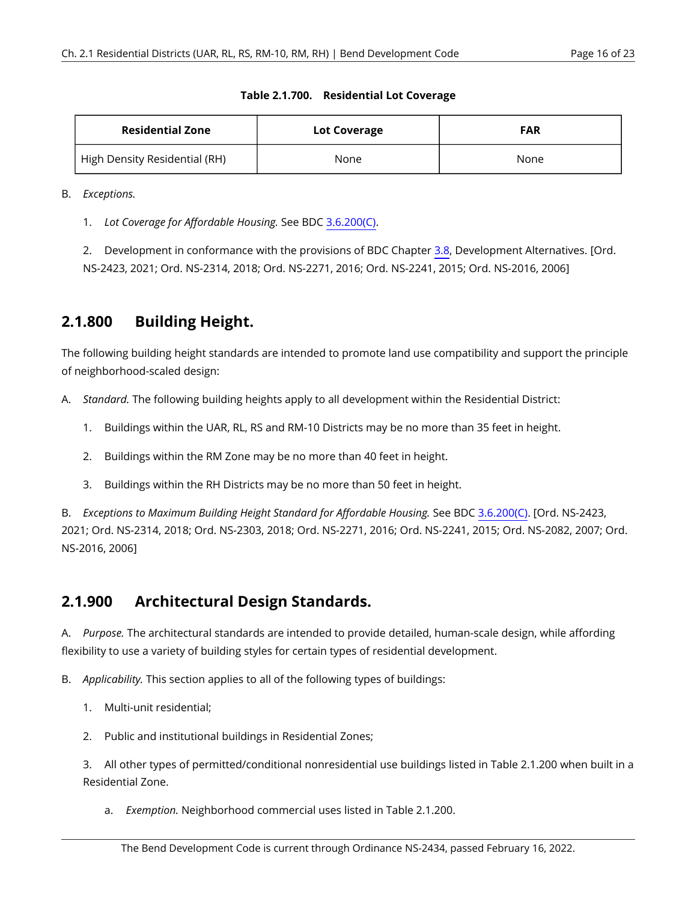| <b>Residential Zone</b>       | Lot Coverage | <b>FAR</b> |
|-------------------------------|--------------|------------|
| High Density Residential (RH) | None         | None       |

#### **Table 2.1.700. Residential Lot Coverage**

B. *Exceptions.* 

1. *Lot Coverage for Affordable Housing.* See BDC [3.6.200\(C\)](https://bend.municipal.codes/BDC/3.6.200(C)).

2. Development in conformance with the provisions of BDC Chapter [3.8](https://bend.municipal.codes/BDC/3.8), Development Alternatives. [Ord. NS-2423, 2021; Ord. NS-2314, 2018; Ord. NS-2271, 2016; Ord. NS-2241, 2015; Ord. NS-2016, 2006]

### **2.1.800 Building Height.**

The following building height standards are intended to promote land use compatibility and support the principle of neighborhood-scaled design:

- A. *Standard.* The following building heights apply to all development within the Residential District:
	- 1. Buildings within the UAR, RL, RS and RM-10 Districts may be no more than 35 feet in height.
	- 2. Buildings within the RM Zone may be no more than 40 feet in height.
	- 3. Buildings within the RH Districts may be no more than 50 feet in height.

B. *Exceptions to Maximum Building Height Standard for Affordable Housing.* See BDC [3.6.200\(C\).](https://bend.municipal.codes/BDC/3.6.200(C)) [Ord. NS-2423, 2021; Ord. NS-2314, 2018; Ord. NS-2303, 2018; Ord. NS-2271, 2016; Ord. NS-2241, 2015; Ord. NS-2082, 2007; Ord. NS-2016, 2006]

### **2.1.900 Architectural Design Standards.**

A. *Purpose.* The architectural standards are intended to provide detailed, human-scale design, while affording flexibility to use a variety of building styles for certain types of residential development.

B. *Applicability.* This section applies to all of the following types of buildings:

- 1. Multi-unit residential;
- 2. Public and institutional buildings in Residential Zones;

3. All other types of permitted/conditional nonresidential use buildings listed in Table 2.1.200 when built in a Residential Zone.

a. *Exemption.* Neighborhood commercial uses listed in Table 2.1.200.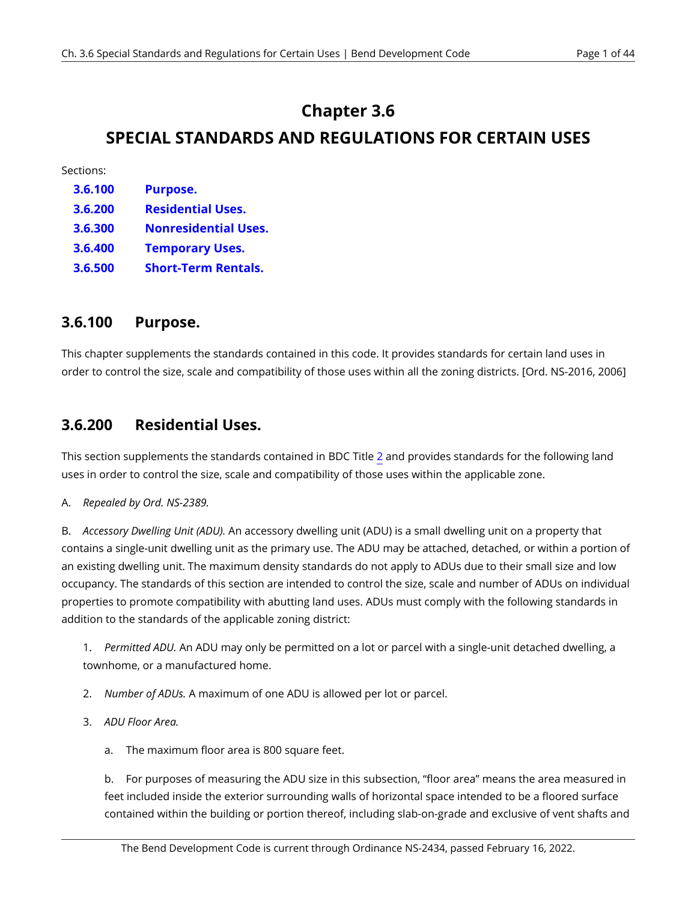# **Chapter 3.6**

# **SPECIAL STANDARDS AND REGULATIONS FOR CERTAIN USES**

Sections:

- **3.6.100 3.6.200 3.6.300 3.6.400 [Purpose.](#page-6-0)  [Residential Uses.](#page-6-1)  Nonresidential Uses. Temporary Uses.**
- **3.6.500 Short-Term Rentals.**

### <span id="page-6-0"></span>**3.6.100 Purpose.**

This chapter supplements the standards contained in this code. It provides standards for certain land uses in order to control the size, scale and compatibility of those uses within all the zoning districts. [Ord. NS-2016, 2006]

### <span id="page-6-1"></span>**3.6.200 Residential Uses.**

This section supplements the standards contained in BDC Title [2](https://bend.municipal.codes/BDC/2) and provides standards for the following land uses in order to control the size, scale and compatibility of those uses within the applicable zone.

#### A. *Repealed by Ord. NS-2389.*

B. *Accessory Dwelling Unit (ADU).* An accessory dwelling unit (ADU) is a small dwelling unit on a property that contains a single-unit dwelling unit as the primary use. The ADU may be attached, detached, or within a portion of an existing dwelling unit. The maximum density standards do not apply to ADUs due to their small size and low occupancy. The standards of this section are intended to control the size, scale and number of ADUs on individual properties to promote compatibility with abutting land uses. ADUs must comply with the following standards in addition to the standards of the applicable zoning district:

1. *Permitted ADU.* An ADU may only be permitted on a lot or parcel with a single-unit detached dwelling, a townhome, or a manufactured home.

- 2. *Number of ADUs.* A maximum of one ADU is allowed per lot or parcel.
- 3. *ADU Floor Area.* 
	- a. The maximum floor area is 800 square feet.

b. For purposes of measuring the ADU size in this subsection, "floor area" means the area measured in feet included inside the exterior surrounding walls of horizontal space intended to be a floored surface contained within the building or portion thereof, including slab-on-grade and exclusive of vent shafts and